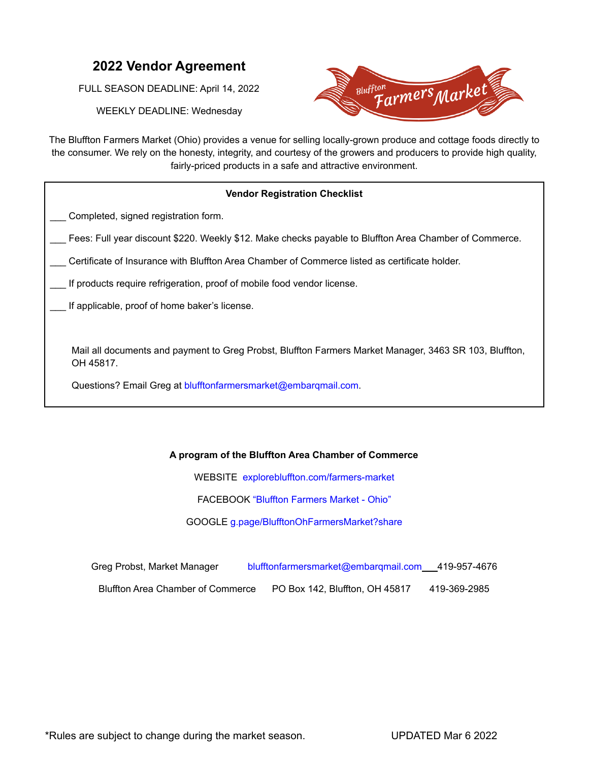# **2022 Vendor Agreement**

FULL SEASON DEADLINE: April 14, 2022

WEEKLY DEADLINE: Wednesday



The Bluffton Farmers Market (Ohio) provides a venue for selling locally-grown produce and cottage foods directly to the consumer. We rely on the honesty, integrity, and courtesy of the growers and producers to provide high quality, fairly-priced products in a safe and attractive environment.

#### **Vendor Registration Checklist**

Completed, signed registration form.

Fees: Full year discount \$220. Weekly \$12. Make checks payable to Bluffton Area Chamber of Commerce.

\_\_\_ Certificate of Insurance with Bluffton Area Chamber of Commerce listed as certificate holder.

If products require refrigeration, proof of mobile food vendor license.

If applicable, proof of home baker's license.

Mail all documents and payment to Greg Probst, Bluffton Farmers Market Manager, 3463 SR 103, Bluffton, OH 45817.

Questions? Email Greg at [blufftonfarmersmarket@embarqmail.com.](mailto:blufftonfarmersmarket@embarqmail.com)

### **A program of the Bluffton Area Chamber of Commerce**

WEBSITE explorebluffton.com/farmers-market

FACEBOOK "Bluffton [Farmers](https://www.facebook.com/farmersmarketblufftonohio) Market - Ohio"

GOOGLE g.page/BlufftonOhFarmersMarket?share

| Greg Probst, Market Manager              | blufftonfarmersmarket@embargmail.com | 419-957-4676 |
|------------------------------------------|--------------------------------------|--------------|
| <b>Bluffton Area Chamber of Commerce</b> | PO Box 142, Bluffton, OH 45817       | 419-369-2985 |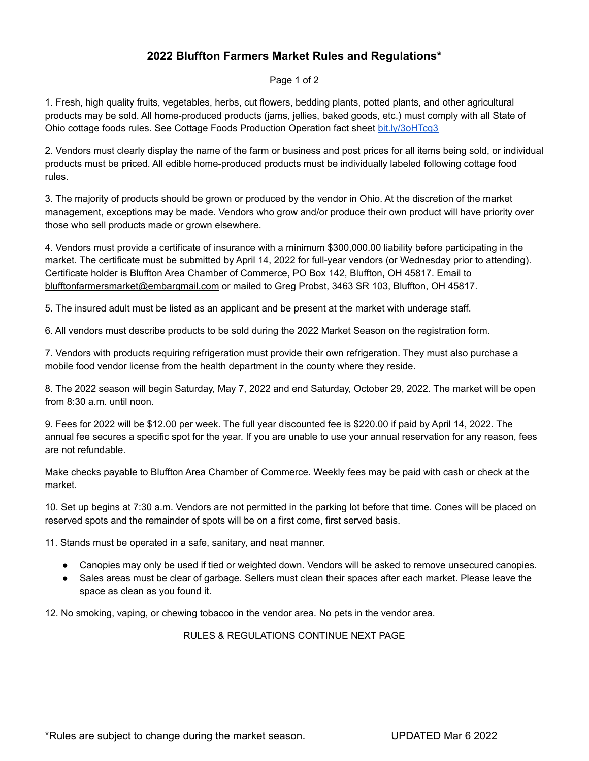## **2022 Bluffton Farmers Market Rules and Regulations\***

#### Page 1 of 2

1. Fresh, high quality fruits, vegetables, herbs, cut flowers, bedding plants, potted plants, and other agricultural products may be sold. All home-produced products (jams, jellies, baked goods, etc.) must comply with all State of Ohio cottage foods rules. See Cottage Foods Production Operation fact sheet [bit.ly/3oHTcq3](https://bit.ly/3oHTcq3)

2. Vendors must clearly display the name of the farm or business and post prices for all items being sold, or individual products must be priced. All edible home-produced products must be individually labeled following cottage food rules.

3. The majority of products should be grown or produced by the vendor in Ohio. At the discretion of the market management, exceptions may be made. Vendors who grow and/or produce their own product will have priority over those who sell products made or grown elsewhere.

4. Vendors must provide a certificate of insurance with a minimum \$300,000.00 liability before participating in the market. The certificate must be submitted by April 14, 2022 for full-year vendors (or Wednesday prior to attending). Certificate holder is Bluffton Area Chamber of Commerce, PO Box 142, Bluffton, OH 45817. Email to [blufftonfarmersmarket@embarqmail.com](mailto:blufftonfarmersmarket@embarqmail.com) or mailed to Greg Probst, 3463 SR 103, Bluffton, OH 45817.

5. The insured adult must be listed as an applicant and be present at the market with underage staff.

6. All vendors must describe products to be sold during the 2022 Market Season on the registration form.

7. Vendors with products requiring refrigeration must provide their own refrigeration. They must also purchase a mobile food vendor license from the health department in the county where they reside.

8. The 2022 season will begin Saturday, May 7, 2022 and end Saturday, October 29, 2022. The market will be open from 8:30 a.m. until noon.

9. Fees for 2022 will be \$12.00 per week. The full year discounted fee is \$220.00 if paid by April 14, 2022. The annual fee secures a specific spot for the year. If you are unable to use your annual reservation for any reason, fees are not refundable.

Make checks payable to Bluffton Area Chamber of Commerce. Weekly fees may be paid with cash or check at the market.

10. Set up begins at 7:30 a.m. Vendors are not permitted in the parking lot before that time. Cones will be placed on reserved spots and the remainder of spots will be on a first come, first served basis.

11. Stands must be operated in a safe, sanitary, and neat manner.

- Canopies may only be used if tied or weighted down. Vendors will be asked to remove unsecured canopies.
- Sales areas must be clear of garbage. Sellers must clean their spaces after each market. Please leave the space as clean as you found it.

12. No smoking, vaping, or chewing tobacco in the vendor area. No pets in the vendor area.

RULES & REGULATIONS CONTINUE NEXT PAGE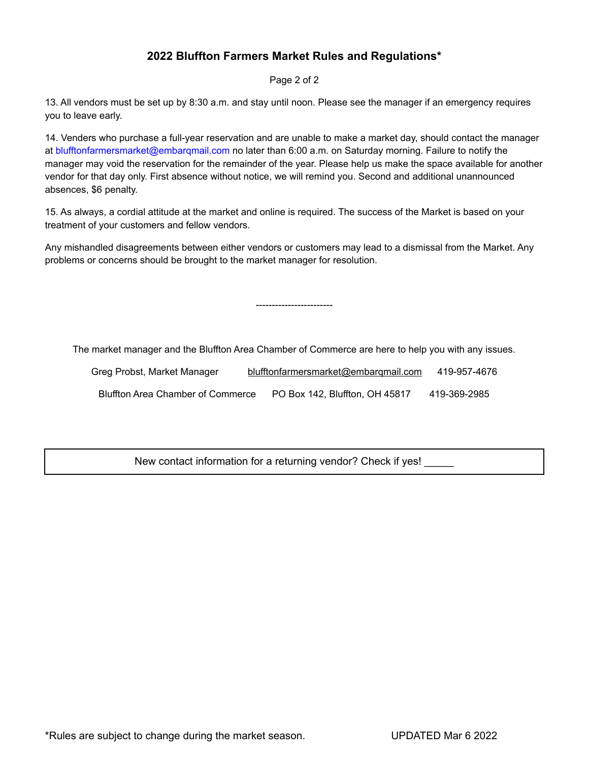### **2022 Bluffton Farmers Market Rules and Regulations\***

Page 2 of 2

13. All vendors must be set up by 8:30 a.m. and stay until noon. Please see the manager if an emergency requires you to leave early.

14. Venders who purchase a full-year reservation and are unable to make a market day, should contact the manager at [blufftonfarmersmarket@embarqmail.com](mailto:blufftonfarmersmarket@embarqmail.com) no later than 6:00 a.m. on Saturday morning. Failure to notify the manager may void the reservation for the remainder of the year. Please help us make the space available for another vendor for that day only. First absence without notice, we will remind you. Second and additional unannounced absences, \$6 penalty.

15. As always, a cordial attitude at the market and online is required. The success of the Market is based on your treatment of your customers and fellow vendors.

Any mishandled disagreements between either vendors or customers may lead to a dismissal from the Market. Any problems or concerns should be brought to the market manager for resolution.

The market manager and the Bluffton Area Chamber of Commerce are here to help you with any issues.

------------------------

| Greg Probst, Market Manager       | blufftonfarmersmarket@embargmail.com | 419-957-4676 |
|-----------------------------------|--------------------------------------|--------------|
| Bluffton Area Chamber of Commerce | PO Box 142, Bluffton, OH 45817       | 419-369-2985 |

New contact information for a returning vendor? Check if yes!

\*Rules are subject to change during the market season. UPDATED Mar 6 2022